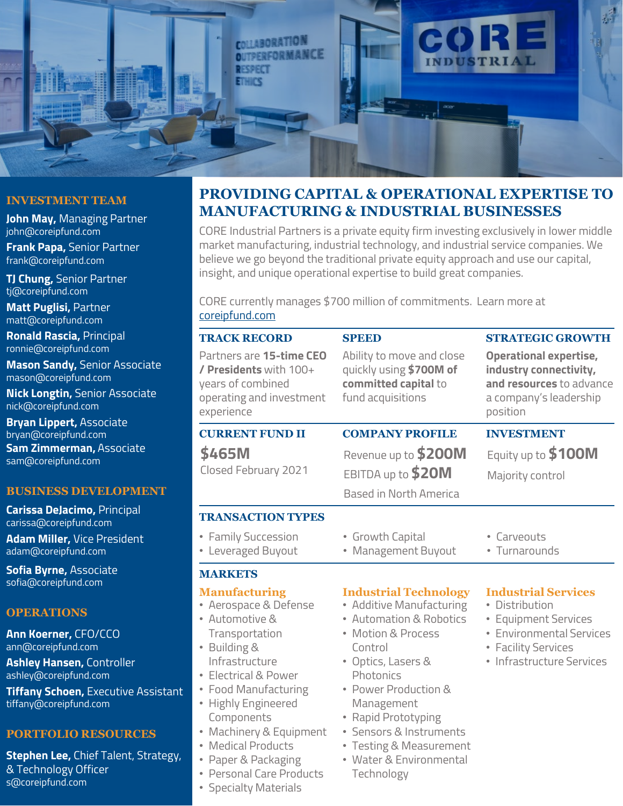

## **INVESTMENT TEAM**

**John May,** Managing Partner john@coreipfund.com **Frank Papa,** Senior Partner

frank@coreipfund.com

**TJ Chung,** Senior Partner tj@coreipfund.com

**Matt Puglisi,** Partner matt@coreipfund.com

**Ronald Rascia,** Principal ronnie@coreipfund.com

**Mason Sandy,** Senior Associate mason@coreipfund.com

**Nick Longtin,** Senior Associate nick@coreipfund.com

**Bryan Lippert,** Associate bryan@coreipfund.com

**Sam Zimmerman,** Associate sam@coreipfund.com

#### **BUSINESS DEVELOPMENT**

**Carissa DeJacimo,** Principal carissa@coreipfund.com **Adam Miller,** Vice President adam@coreipfund.com

**Sofia Byrne,** Associate sofia@coreipfund.com

# **OPERATIONS**

**Ann Koerner,** CFO/CCO ann@coreipfund.com

**Ashley Hansen,** Controller ashley@coreipfund.com

**Tiffany Schoen,** Executive Assistant tiffany@coreipfund.com

#### **PORTFOLIO RESOURCES**

**Stephen Lee,** Chief Talent, Strategy, & Technology Officer s@coreipfund.com

# **PROVIDING CAPITAL & OPERATIONAL EXPERTISE TO MANUFACTURING & INDUSTRIAL BUSINESSES**

CORE Industrial Partners is a private equity firm investing exclusively in lower middle market manufacturing, industrial technology, and industrial service companies. We believe we go beyond the traditional private equity approach and use our capital, insight, and unique operational expertise to build great companies.

CORE currently manages \$700 million of commitments. Learn more at [coreipfund.com](http://www.coreipfund.com/)

| <b>TRACK RECORD</b>                                                                                                                                                                                                                                                                                                                   | <b>SPEED</b>                                                                                                                                                                                                                                                                                                        | <b>STRATEGIC GROWTH</b>                                                                                                                                   |
|---------------------------------------------------------------------------------------------------------------------------------------------------------------------------------------------------------------------------------------------------------------------------------------------------------------------------------------|---------------------------------------------------------------------------------------------------------------------------------------------------------------------------------------------------------------------------------------------------------------------------------------------------------------------|-----------------------------------------------------------------------------------------------------------------------------------------------------------|
| Partners are 15-time CEO<br>/ Presidents with 100+<br>years of combined<br>operating and investment<br>experience                                                                                                                                                                                                                     | Ability to move and close<br>quickly using \$700M of<br>committed capital to<br>fund acquisitions                                                                                                                                                                                                                   | <b>Operational expertise,</b><br>industry connectivity,<br>and resources to advance<br>a company's leadership<br>position                                 |
| <b>CURRENT FUND II</b>                                                                                                                                                                                                                                                                                                                | <b>COMPANY PROFILE</b>                                                                                                                                                                                                                                                                                              | <b>INVESTMENT</b>                                                                                                                                         |
| \$465M<br>Closed February 2021                                                                                                                                                                                                                                                                                                        | Revenue up to \$200M<br>EBITDA up to \$20M<br>Based in North America                                                                                                                                                                                                                                                | Equity up to \$100M<br>Majority control                                                                                                                   |
| <b>TRANSACTION TYPES</b>                                                                                                                                                                                                                                                                                                              |                                                                                                                                                                                                                                                                                                                     |                                                                                                                                                           |
| • Family Succession<br>• Leveraged Buyout                                                                                                                                                                                                                                                                                             | • Growth Capital<br>• Management Buyout                                                                                                                                                                                                                                                                             | • Carveouts<br>• Turnarounds                                                                                                                              |
| <b>MARKETS</b>                                                                                                                                                                                                                                                                                                                        |                                                                                                                                                                                                                                                                                                                     |                                                                                                                                                           |
| <b>Manufacturing</b><br>• Aerospace & Defense<br>• Automotive &<br>Transportation<br>• Building &<br>Infrastructure<br>• Electrical & Power<br>• Food Manufacturing<br>• Highly Engineered<br>Components<br>• Machinery & Equipment<br>• Medical Products<br>• Paper & Packaging<br>• Personal Care Products<br>• Specialty Materials | <b>Industrial Technology</b><br>• Additive Manufacturing<br>• Automation & Robotics<br>• Motion & Process<br>Control<br>• Optics, Lasers &<br>Photonics<br>• Power Production &<br>Management<br>• Rapid Prototyping<br>• Sensors & Instruments<br>• Testing & Measurement<br>• Water & Environmental<br>Technology | <b>Industrial Services</b><br>• Distribution<br>• Equipment Services<br><b>Environmental Services</b><br>• Facility Services<br>• Infrastructure Services |